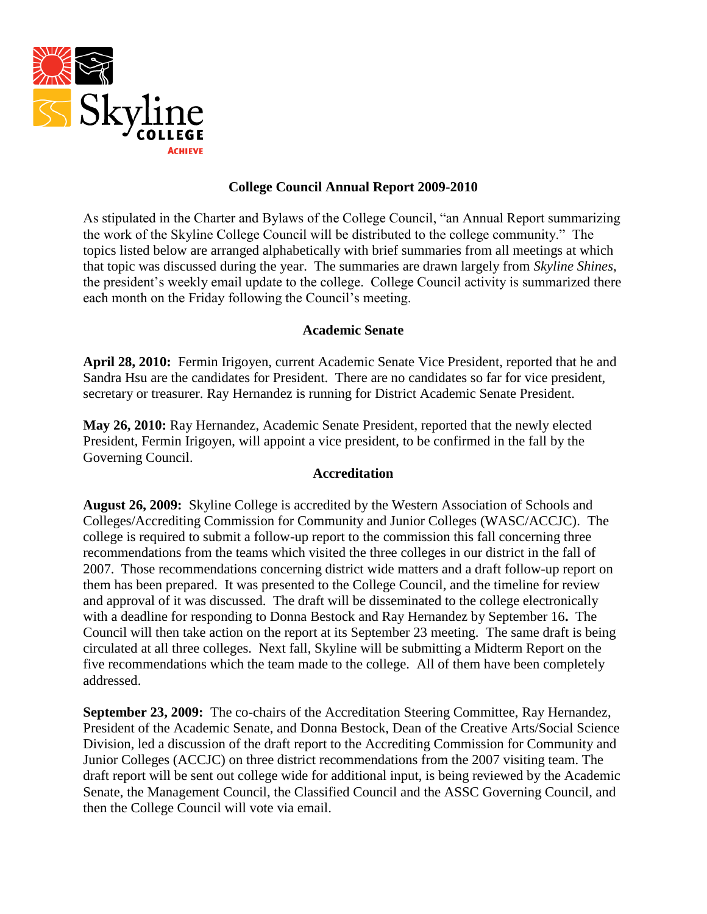

# **College Council Annual Report 2009-2010**

As stipulated in the Charter and Bylaws of the College Council, "an Annual Report summarizing the work of the Skyline College Council will be distributed to the college community." The topics listed below are arranged alphabetically with brief summaries from all meetings at which that topic was discussed during the year. The summaries are drawn largely from *Skyline Shines*, the president's weekly email update to the college. College Council activity is summarized there each month on the Friday following the Council's meeting.

# **Academic Senate**

**April 28, 2010:** Fermin Irigoyen, current Academic Senate Vice President, reported that he and Sandra Hsu are the candidates for President. There are no candidates so far for vice president, secretary or treasurer. Ray Hernandez is running for District Academic Senate President.

**May 26, 2010:** Ray Hernandez, Academic Senate President, reported that the newly elected President, Fermin Irigoyen, will appoint a vice president, to be confirmed in the fall by the Governing Council.

# **Accreditation**

**August 26, 2009:** Skyline College is accredited by the Western Association of Schools and Colleges/Accrediting Commission for Community and Junior Colleges (WASC/ACCJC). The college is required to submit a follow-up report to the commission this fall concerning three recommendations from the teams which visited the three colleges in our district in the fall of 2007. Those recommendations concerning district wide matters and a draft follow-up report on them has been prepared. It was presented to the College Council, and the timeline for review and approval of it was discussed. The draft will be disseminated to the college electronically with a deadline for responding to Donna Bestock and Ray Hernandez by September 16**.** The Council will then take action on the report at its September 23 meeting. The same draft is being circulated at all three colleges. Next fall, Skyline will be submitting a Midterm Report on the five recommendations which the team made to the college. All of them have been completely addressed.

**September 23, 2009:** The co-chairs of the Accreditation Steering Committee, Ray Hernandez, President of the Academic Senate, and Donna Bestock, Dean of the Creative Arts/Social Science Division, led a discussion of the draft report to the Accrediting Commission for Community and Junior Colleges (ACCJC) on three district recommendations from the 2007 visiting team. The draft report will be sent out college wide for additional input, is being reviewed by the Academic Senate, the Management Council, the Classified Council and the ASSC Governing Council, and then the College Council will vote via email.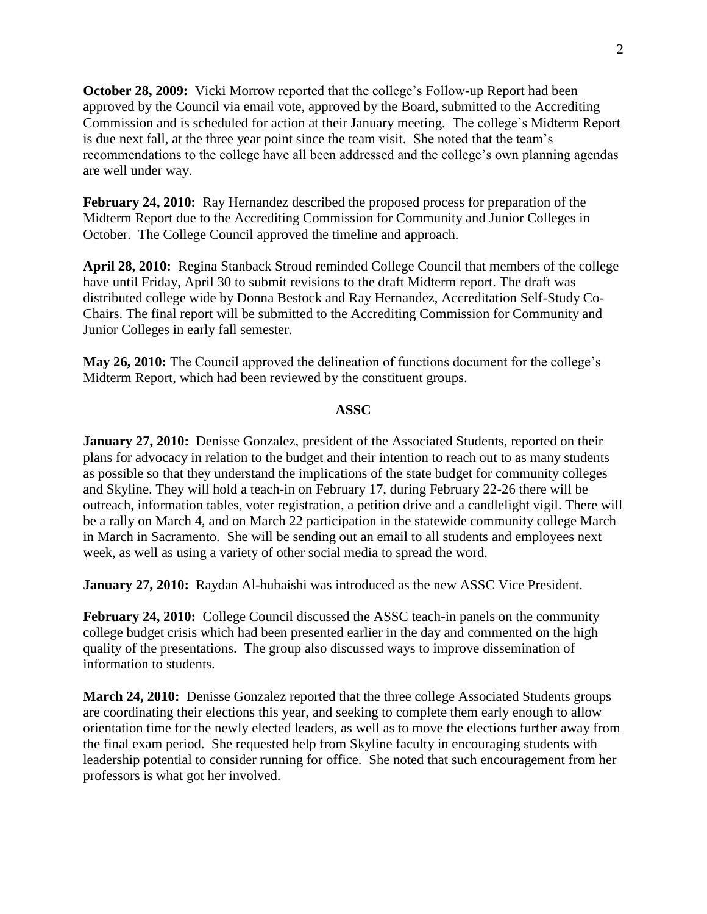**October 28, 2009:** Vicki Morrow reported that the college's Follow-up Report had been approved by the Council via email vote, approved by the Board, submitted to the Accrediting Commission and is scheduled for action at their January meeting. The college's Midterm Report is due next fall, at the three year point since the team visit. She noted that the team's recommendations to the college have all been addressed and the college's own planning agendas are well under way.

**February 24, 2010:** Ray Hernandez described the proposed process for preparation of the Midterm Report due to the Accrediting Commission for Community and Junior Colleges in October. The College Council approved the timeline and approach.

**April 28, 2010:** Regina Stanback Stroud reminded College Council that members of the college have until Friday, April 30 to submit revisions to the draft Midterm report. The draft was distributed college wide by Donna Bestock and Ray Hernandez, Accreditation Self-Study Co-Chairs. The final report will be submitted to the Accrediting Commission for Community and Junior Colleges in early fall semester.

**May 26, 2010:** The Council approved the delineation of functions document for the college's Midterm Report, which had been reviewed by the constituent groups.

#### **ASSC**

**January 27, 2010:** Denisse Gonzalez, president of the Associated Students, reported on their plans for advocacy in relation to the budget and their intention to reach out to as many students as possible so that they understand the implications of the state budget for community colleges and Skyline. They will hold a teach-in on February 17, during February 22-26 there will be outreach, information tables, voter registration, a petition drive and a candlelight vigil. There will be a rally on March 4, and on March 22 participation in the statewide community college March in March in Sacramento. She will be sending out an email to all students and employees next week, as well as using a variety of other social media to spread the word.

**January 27, 2010:** Raydan Al-hubaishi was introduced as the new ASSC Vice President.

**February 24, 2010:** College Council discussed the ASSC teach-in panels on the community college budget crisis which had been presented earlier in the day and commented on the high quality of the presentations. The group also discussed ways to improve dissemination of information to students.

**March 24, 2010:** Denisse Gonzalez reported that the three college Associated Students groups are coordinating their elections this year, and seeking to complete them early enough to allow orientation time for the newly elected leaders, as well as to move the elections further away from the final exam period. She requested help from Skyline faculty in encouraging students with leadership potential to consider running for office. She noted that such encouragement from her professors is what got her involved.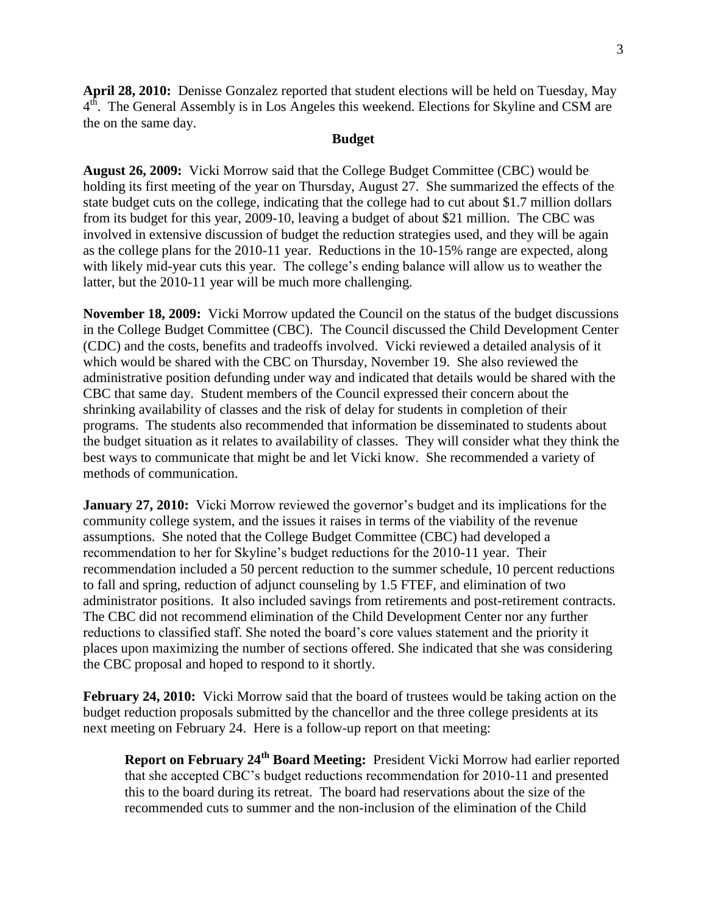**April 28, 2010:** Denisse Gonzalez reported that student elections will be held on Tuesday, May  $4<sup>th</sup>$ . The General Assembly is in Los Angeles this weekend. Elections for Skyline and CSM are the on the same day.

### **Budget**

**August 26, 2009:** Vicki Morrow said that the College Budget Committee (CBC) would be holding its first meeting of the year on Thursday, August 27. She summarized the effects of the state budget cuts on the college, indicating that the college had to cut about \$1.7 million dollars from its budget for this year, 2009-10, leaving a budget of about \$21 million. The CBC was involved in extensive discussion of budget the reduction strategies used, and they will be again as the college plans for the 2010-11 year. Reductions in the 10-15% range are expected, along with likely mid-year cuts this year. The college's ending balance will allow us to weather the latter, but the 2010-11 year will be much more challenging.

**November 18, 2009:** Vicki Morrow updated the Council on the status of the budget discussions in the College Budget Committee (CBC). The Council discussed the Child Development Center (CDC) and the costs, benefits and tradeoffs involved. Vicki reviewed a detailed analysis of it which would be shared with the CBC on Thursday, November 19. She also reviewed the administrative position defunding under way and indicated that details would be shared with the CBC that same day. Student members of the Council expressed their concern about the shrinking availability of classes and the risk of delay for students in completion of their programs. The students also recommended that information be disseminated to students about the budget situation as it relates to availability of classes. They will consider what they think the best ways to communicate that might be and let Vicki know. She recommended a variety of methods of communication.

**January 27, 2010:** Vicki Morrow reviewed the governor's budget and its implications for the community college system, and the issues it raises in terms of the viability of the revenue assumptions. She noted that the College Budget Committee (CBC) had developed a recommendation to her for Skyline's budget reductions for the 2010-11 year. Their recommendation included a 50 percent reduction to the summer schedule, 10 percent reductions to fall and spring, reduction of adjunct counseling by 1.5 FTEF, and elimination of two administrator positions. It also included savings from retirements and post-retirement contracts. The CBC did not recommend elimination of the Child Development Center nor any further reductions to classified staff. She noted the board's core values statement and the priority it places upon maximizing the number of sections offered. She indicated that she was considering the CBC proposal and hoped to respond to it shortly.

**February 24, 2010:** Vicki Morrow said that the board of trustees would be taking action on the budget reduction proposals submitted by the chancellor and the three college presidents at its next meeting on February 24. Here is a follow-up report on that meeting:

**Report on February 24th Board Meeting:** President Vicki Morrow had earlier reported that she accepted CBC's budget reductions recommendation for 2010-11 and presented this to the board during its retreat. The board had reservations about the size of the recommended cuts to summer and the non-inclusion of the elimination of the Child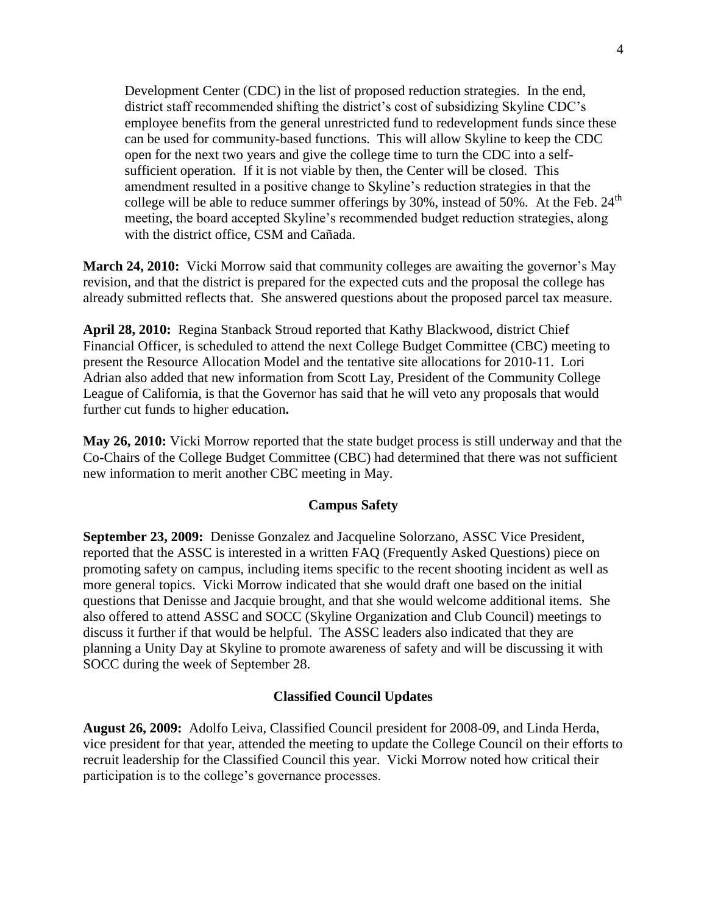Development Center (CDC) in the list of proposed reduction strategies. In the end, district staff recommended shifting the district's cost of subsidizing Skyline CDC's employee benefits from the general unrestricted fund to redevelopment funds since these can be used for community-based functions. This will allow Skyline to keep the CDC open for the next two years and give the college time to turn the CDC into a selfsufficient operation. If it is not viable by then, the Center will be closed. This amendment resulted in a positive change to Skyline's reduction strategies in that the college will be able to reduce summer offerings by  $30\%$ , instead of  $50\%$ . At the Feb.  $24<sup>th</sup>$ meeting, the board accepted Skyline's recommended budget reduction strategies, along with the district office, CSM and Cañada.

**March 24, 2010:** Vicki Morrow said that community colleges are awaiting the governor's May revision, and that the district is prepared for the expected cuts and the proposal the college has already submitted reflects that. She answered questions about the proposed parcel tax measure.

**April 28, 2010:** Regina Stanback Stroud reported that Kathy Blackwood, district Chief Financial Officer, is scheduled to attend the next College Budget Committee (CBC) meeting to present the Resource Allocation Model and the tentative site allocations for 2010-11. Lori Adrian also added that new information from Scott Lay, President of the Community College League of California, is that the Governor has said that he will veto any proposals that would further cut funds to higher education**.**

**May 26, 2010:** Vicki Morrow reported that the state budget process is still underway and that the Co-Chairs of the College Budget Committee (CBC) had determined that there was not sufficient new information to merit another CBC meeting in May.

## **Campus Safety**

**September 23, 2009:** Denisse Gonzalez and Jacqueline Solorzano, ASSC Vice President, reported that the ASSC is interested in a written FAQ (Frequently Asked Questions) piece on promoting safety on campus, including items specific to the recent shooting incident as well as more general topics. Vicki Morrow indicated that she would draft one based on the initial questions that Denisse and Jacquie brought, and that she would welcome additional items. She also offered to attend ASSC and SOCC (Skyline Organization and Club Council) meetings to discuss it further if that would be helpful. The ASSC leaders also indicated that they are planning a Unity Day at Skyline to promote awareness of safety and will be discussing it with SOCC during the week of September 28.

## **Classified Council Updates**

**August 26, 2009:** Adolfo Leiva, Classified Council president for 2008-09, and Linda Herda, vice president for that year, attended the meeting to update the College Council on their efforts to recruit leadership for the Classified Council this year. Vicki Morrow noted how critical their participation is to the college's governance processes.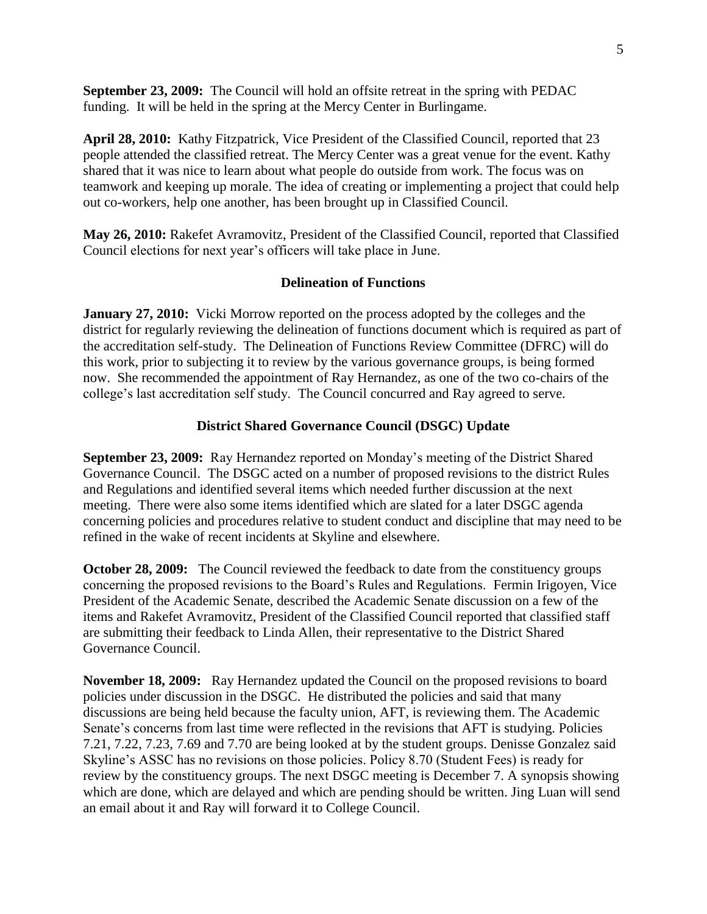**September 23, 2009:** The Council will hold an offsite retreat in the spring with PEDAC funding. It will be held in the spring at the Mercy Center in Burlingame.

**April 28, 2010:** Kathy Fitzpatrick, Vice President of the Classified Council, reported that 23 people attended the classified retreat. The Mercy Center was a great venue for the event. Kathy shared that it was nice to learn about what people do outside from work. The focus was on teamwork and keeping up morale. The idea of creating or implementing a project that could help out co-workers, help one another, has been brought up in Classified Council.

**May 26, 2010:** Rakefet Avramovitz, President of the Classified Council, reported that Classified Council elections for next year's officers will take place in June.

## **Delineation of Functions**

**January 27, 2010:** Vicki Morrow reported on the process adopted by the colleges and the district for regularly reviewing the delineation of functions document which is required as part of the accreditation self-study. The Delineation of Functions Review Committee (DFRC) will do this work, prior to subjecting it to review by the various governance groups, is being formed now. She recommended the appointment of Ray Hernandez, as one of the two co-chairs of the college's last accreditation self study. The Council concurred and Ray agreed to serve.

## **District Shared Governance Council (DSGC) Update**

**September 23, 2009:** Ray Hernandez reported on Monday's meeting of the District Shared Governance Council. The DSGC acted on a number of proposed revisions to the district Rules and Regulations and identified several items which needed further discussion at the next meeting. There were also some items identified which are slated for a later DSGC agenda concerning policies and procedures relative to student conduct and discipline that may need to be refined in the wake of recent incidents at Skyline and elsewhere.

**October 28, 2009:** The Council reviewed the feedback to date from the constituency groups concerning the proposed revisions to the Board's Rules and Regulations. Fermin Irigoyen, Vice President of the Academic Senate, described the Academic Senate discussion on a few of the items and Rakefet Avramovitz, President of the Classified Council reported that classified staff are submitting their feedback to Linda Allen, their representative to the District Shared Governance Council.

**November 18, 2009:** Ray Hernandez updated the Council on the proposed revisions to board policies under discussion in the DSGC. He distributed the policies and said that many discussions are being held because the faculty union, AFT, is reviewing them. The Academic Senate's concerns from last time were reflected in the revisions that AFT is studying. Policies 7.21, 7.22, 7.23, 7.69 and 7.70 are being looked at by the student groups. Denisse Gonzalez said Skyline's ASSC has no revisions on those policies. Policy 8.70 (Student Fees) is ready for review by the constituency groups. The next DSGC meeting is December 7. A synopsis showing which are done, which are delayed and which are pending should be written. Jing Luan will send an email about it and Ray will forward it to College Council.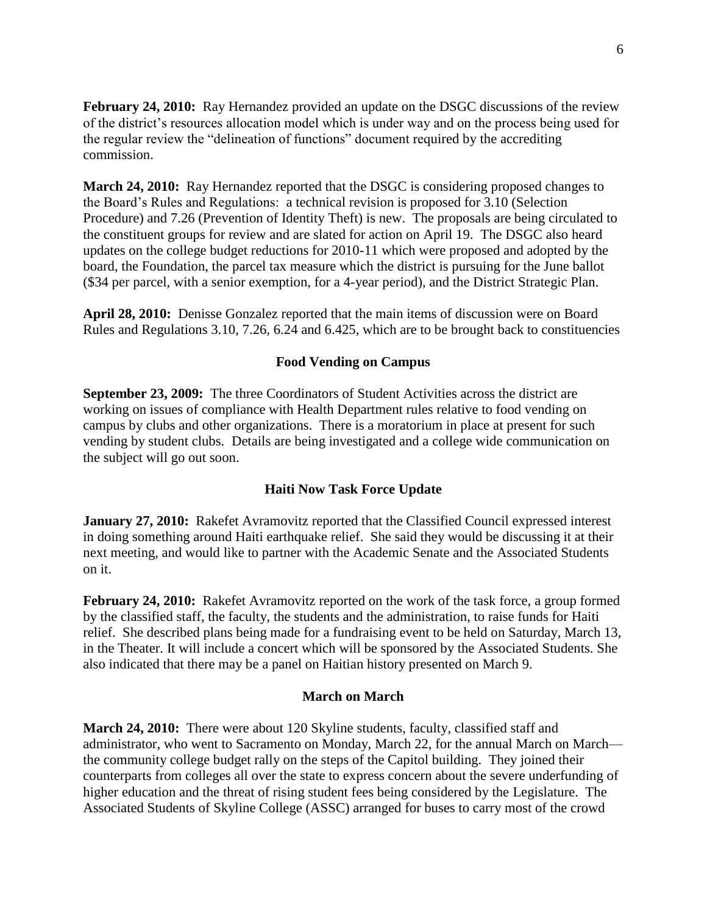**February 24, 2010:** Ray Hernandez provided an update on the DSGC discussions of the review of the district's resources allocation model which is under way and on the process being used for the regular review the "delineation of functions" document required by the accrediting commission.

**March 24, 2010:** Ray Hernandez reported that the DSGC is considering proposed changes to the Board's Rules and Regulations: a technical revision is proposed for 3.10 (Selection Procedure) and 7.26 (Prevention of Identity Theft) is new. The proposals are being circulated to the constituent groups for review and are slated for action on April 19. The DSGC also heard updates on the college budget reductions for 2010-11 which were proposed and adopted by the board, the Foundation, the parcel tax measure which the district is pursuing for the June ballot (\$34 per parcel, with a senior exemption, for a 4-year period), and the District Strategic Plan.

**April 28, 2010:** Denisse Gonzalez reported that the main items of discussion were on Board Rules and Regulations 3.10, 7.26, 6.24 and 6.425, which are to be brought back to constituencies

#### **Food Vending on Campus**

**September 23, 2009:** The three Coordinators of Student Activities across the district are working on issues of compliance with Health Department rules relative to food vending on campus by clubs and other organizations. There is a moratorium in place at present for such vending by student clubs. Details are being investigated and a college wide communication on the subject will go out soon.

## **Haiti Now Task Force Update**

**January 27, 2010:** Rakefet Avramovitz reported that the Classified Council expressed interest in doing something around Haiti earthquake relief. She said they would be discussing it at their next meeting, and would like to partner with the Academic Senate and the Associated Students on it.

**February 24, 2010:** Rakefet Avramovitz reported on the work of the task force, a group formed by the classified staff, the faculty, the students and the administration, to raise funds for Haiti relief. She described plans being made for a fundraising event to be held on Saturday, March 13, in the Theater. It will include a concert which will be sponsored by the Associated Students. She also indicated that there may be a panel on Haitian history presented on March 9.

#### **March on March**

**March 24, 2010:** There were about 120 Skyline students, faculty, classified staff and administrator, who went to Sacramento on Monday, March 22, for the annual March on March the community college budget rally on the steps of the Capitol building. They joined their counterparts from colleges all over the state to express concern about the severe underfunding of higher education and the threat of rising student fees being considered by the Legislature. The Associated Students of Skyline College (ASSC) arranged for buses to carry most of the crowd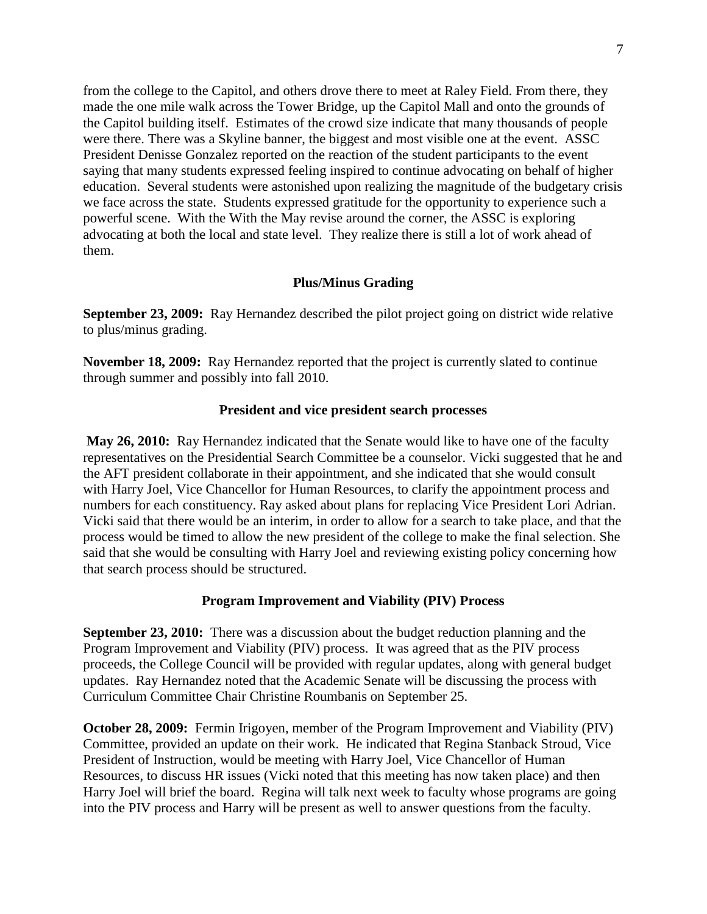from the college to the Capitol, and others drove there to meet at Raley Field. From there, they made the one mile walk across the Tower Bridge, up the Capitol Mall and onto the grounds of the Capitol building itself. Estimates of the crowd size indicate that many thousands of people were there. There was a Skyline banner, the biggest and most visible one at the event. ASSC President Denisse Gonzalez reported on the reaction of the student participants to the event saying that many students expressed feeling inspired to continue advocating on behalf of higher education. Several students were astonished upon realizing the magnitude of the budgetary crisis we face across the state. Students expressed gratitude for the opportunity to experience such a powerful scene. With the With the May revise around the corner, the ASSC is exploring advocating at both the local and state level. They realize there is still a lot of work ahead of them.

## **Plus/Minus Grading**

**September 23, 2009:** Ray Hernandez described the pilot project going on district wide relative to plus/minus grading.

**November 18, 2009:** Ray Hernandez reported that the project is currently slated to continue through summer and possibly into fall 2010.

#### **President and vice president search processes**

**May 26, 2010:** Ray Hernandez indicated that the Senate would like to have one of the faculty representatives on the Presidential Search Committee be a counselor. Vicki suggested that he and the AFT president collaborate in their appointment, and she indicated that she would consult with Harry Joel, Vice Chancellor for Human Resources, to clarify the appointment process and numbers for each constituency. Ray asked about plans for replacing Vice President Lori Adrian. Vicki said that there would be an interim, in order to allow for a search to take place, and that the process would be timed to allow the new president of the college to make the final selection. She said that she would be consulting with Harry Joel and reviewing existing policy concerning how that search process should be structured.

#### **Program Improvement and Viability (PIV) Process**

**September 23, 2010:** There was a discussion about the budget reduction planning and the Program Improvement and Viability (PIV) process. It was agreed that as the PIV process proceeds, the College Council will be provided with regular updates, along with general budget updates. Ray Hernandez noted that the Academic Senate will be discussing the process with Curriculum Committee Chair Christine Roumbanis on September 25.

**October 28, 2009:** Fermin Irigoyen, member of the Program Improvement and Viability (PIV) Committee, provided an update on their work. He indicated that Regina Stanback Stroud, Vice President of Instruction, would be meeting with Harry Joel, Vice Chancellor of Human Resources, to discuss HR issues (Vicki noted that this meeting has now taken place) and then Harry Joel will brief the board. Regina will talk next week to faculty whose programs are going into the PIV process and Harry will be present as well to answer questions from the faculty.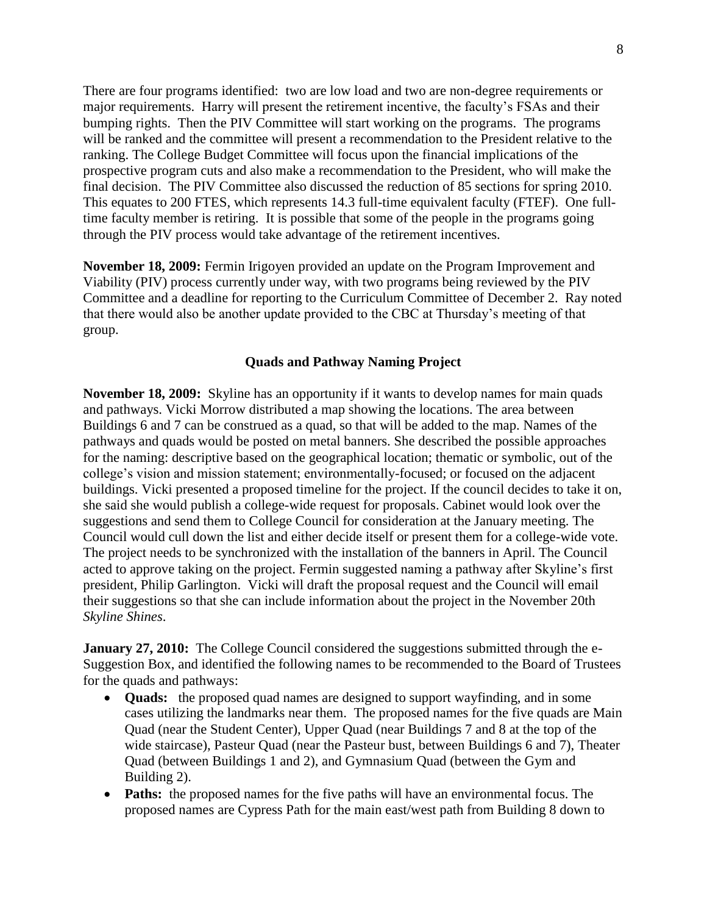There are four programs identified: two are low load and two are non-degree requirements or major requirements. Harry will present the retirement incentive, the faculty's FSAs and their bumping rights. Then the PIV Committee will start working on the programs. The programs will be ranked and the committee will present a recommendation to the President relative to the ranking. The College Budget Committee will focus upon the financial implications of the prospective program cuts and also make a recommendation to the President, who will make the final decision. The PIV Committee also discussed the reduction of 85 sections for spring 2010. This equates to 200 FTES, which represents 14.3 full-time equivalent faculty (FTEF). One fulltime faculty member is retiring. It is possible that some of the people in the programs going through the PIV process would take advantage of the retirement incentives.

**November 18, 2009:** Fermin Irigoyen provided an update on the Program Improvement and Viability (PIV) process currently under way, with two programs being reviewed by the PIV Committee and a deadline for reporting to the Curriculum Committee of December 2. Ray noted that there would also be another update provided to the CBC at Thursday's meeting of that group.

## **Quads and Pathway Naming Project**

**November 18, 2009:** Skyline has an opportunity if it wants to develop names for main quads and pathways. Vicki Morrow distributed a map showing the locations. The area between Buildings 6 and 7 can be construed as a quad, so that will be added to the map. Names of the pathways and quads would be posted on metal banners. She described the possible approaches for the naming: descriptive based on the geographical location; thematic or symbolic, out of the college's vision and mission statement; environmentally-focused; or focused on the adjacent buildings. Vicki presented a proposed timeline for the project. If the council decides to take it on, she said she would publish a college-wide request for proposals. Cabinet would look over the suggestions and send them to College Council for consideration at the January meeting. The Council would cull down the list and either decide itself or present them for a college-wide vote. The project needs to be synchronized with the installation of the banners in April. The Council acted to approve taking on the project. Fermin suggested naming a pathway after Skyline's first president, Philip Garlington. Vicki will draft the proposal request and the Council will email their suggestions so that she can include information about the project in the November 20th *Skyline Shines*.

**January 27, 2010:** The College Council considered the suggestions submitted through the e-Suggestion Box, and identified the following names to be recommended to the Board of Trustees for the quads and pathways:

- **Quads:** the proposed quad names are designed to support wayfinding, and in some cases utilizing the landmarks near them. The proposed names for the five quads are Main Quad (near the Student Center), Upper Quad (near Buildings 7 and 8 at the top of the wide staircase), Pasteur Quad (near the Pasteur bust, between Buildings 6 and 7), Theater Quad (between Buildings 1 and 2), and Gymnasium Quad (between the Gym and Building 2).
- **Paths:** the proposed names for the five paths will have an environmental focus. The proposed names are Cypress Path for the main east/west path from Building 8 down to